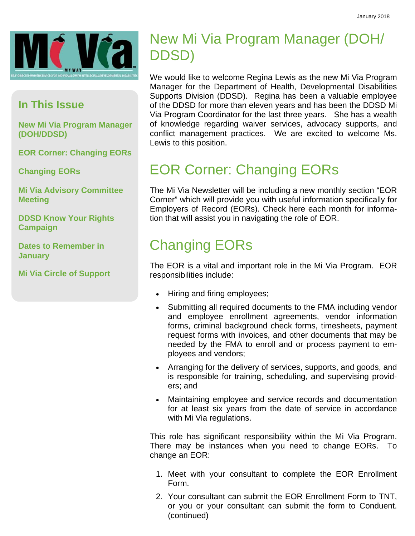

### **In This Issue**

**New Mi Via Program Manager (DOH/DDSD)** 

**EOR Corner: Changing EORs** 

**Changing EORs** 

**Mi Via Advisory Committee Meeting** 

**DDSD Know Your Rights Campaign** 

**Dates to Remember in January** 

**Mi Via Circle of Support** 

## New Mi Via Program Manager (DOH/ DDSD)

We would like to welcome Regina Lewis as the new Mi Via Program Manager for the Department of Health, Developmental Disabilities Supports Division (DDSD). Regina has been a valuable employee of the DDSD for more than eleven years and has been the DDSD Mi Via Program Coordinator for the last three years. She has a wealth of knowledge regarding waiver services, advocacy supports, and conflict management practices. We are excited to welcome Ms. Lewis to this position.

## EOR Corner: Changing EORs

The Mi Via Newsletter will be including a new monthly section "EOR Corner" which will provide you with useful information specifically for Employers of Record (EORs). Check here each month for information that will assist you in navigating the role of EOR.

## Changing EORs

The EOR is a vital and important role in the Mi Via Program. EOR responsibilities include:

- Hiring and firing employees;
- Submitting all required documents to the FMA including vendor and employee enrollment agreements, vendor information forms, criminal background check forms, timesheets, payment request forms with invoices, and other documents that may be needed by the FMA to enroll and or process payment to employees and vendors;
- Arranging for the delivery of services, supports, and goods, and is responsible for training, scheduling, and supervising providers; and
- Maintaining employee and service records and documentation for at least six years from the date of service in accordance with Mi Via regulations.

This role has significant responsibility within the Mi Via Program. There may be instances when you need to change EORs. To change an EOR:

- 1. Meet with your consultant to complete the EOR Enrollment Form.
- 2. Your consultant can submit the EOR Enrollment Form to TNT, or you or your consultant can submit the form to Conduent. (continued)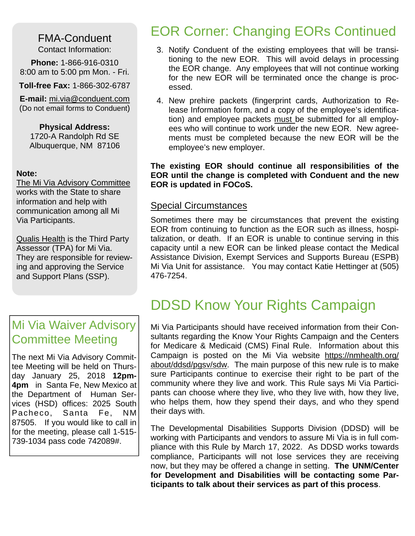FMA-Conduent Contact Information:

**Phone:** 1-866-916-0310 8:00 am to 5:00 pm Mon. - Fri.

**Toll-free Fax:** 1-866-302-6787

**E-mail:** mi.via@conduent.com (Do not email forms to Conduent)

**Physical Address:** 1720-A Randolph Rd SE Albuquerque, NM 87106

#### **Note:**

The Mi Via Advisory Committee works with the State to share information and help with communication among all Mi Via Participants.

Qualis Health is the Third Party Assessor (TPA) for Mi Via. They are responsible for reviewing and approving the Service and Support Plans (SSP).

## Mi Via Waiver Advisory Committee Meeting

The next Mi Via Advisory Committee Meeting will be held on Thursday January 25, 2018 **12pm-4pm** in Santa Fe, New Mexico at the Department of Human Services (HSD) offices: 2025 South Pacheco, Santa Fe, NM 87505. If you would like to call in for the meeting, please call 1-515- 739-1034 pass code 742089#.

## EOR Corner: Changing EORs Continued

- 3. Notify Conduent of the existing employees that will be transitioning to the new EOR. This will avoid delays in processing the EOR change. Any employees that will not continue working for the new EOR will be terminated once the change is processed.
- 4. New prehire packets (fingerprint cards, Authorization to Release Information form, and a copy of the employee's identification) and employee packets must be submitted for all employees who will continue to work under the new EOR. New agreements must be completed because the new EOR will be the employee's new employer.

**The existing EOR should continue all responsibilities of the EOR until the change is completed with Conduent and the new EOR is updated in FOCoS.** 

#### Special Circumstances

Sometimes there may be circumstances that prevent the existing EOR from continuing to function as the EOR such as illness, hospitalization, or death. If an EOR is unable to continue serving in this capacity until a new EOR can be linked please contact the Medical Assistance Division, Exempt Services and Supports Bureau (ESPB) Mi Via Unit for assistance. You may contact Katie Hettinger at (505) 476-7254.

## DDSD Know Your Rights Campaign

Mi Via Participants should have received information from their Consultants regarding the Know Your Rights Campaign and the Centers for Medicare & Medicaid (CMS) Final Rule. Information about this Campaign is posted on the Mi Via website https://nmhealth.org/ about/ddsd/pgsv/sdw. The main purpose of this new rule is to make sure Participants continue to exercise their right to be part of the community where they live and work. This Rule says Mi Via Participants can choose where they live, who they live with, how they live, who helps them, how they spend their days, and who they spend their days with.

The Developmental Disabilities Supports Division (DDSD) will be working with Participants and vendors to assure Mi Via is in full compliance with this Rule by March 17, 2022. As DDSD works towards compliance, Participants will not lose services they are receiving now, but they may be offered a change in setting. **The UNM/Center for Development and Disabilities will be contacting some Participants to talk about their services as part of this process**.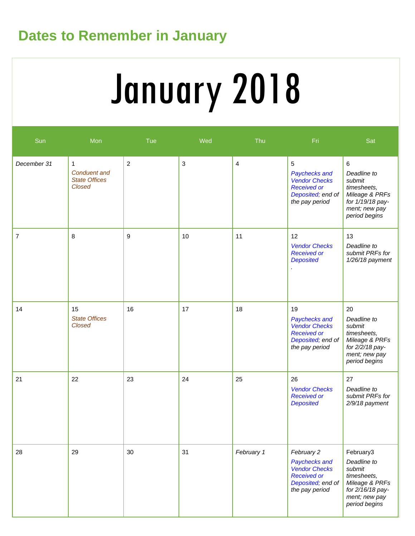# **Dates to Remember in January**

# January 2018

| Sun         | Mon                                                                          | Tue            | Wed            | Thu            | Fri                                                                                                              | Sat                                                                                                                       |
|-------------|------------------------------------------------------------------------------|----------------|----------------|----------------|------------------------------------------------------------------------------------------------------------------|---------------------------------------------------------------------------------------------------------------------------|
| December 31 | $\mathbf{1}$<br><b>Conduent and</b><br><b>State Offices</b><br><b>Closed</b> | $\overline{2}$ | $\mathfrak{S}$ | $\overline{4}$ | 5<br>Paychecks and<br><b>Vendor Checks</b><br><b>Received or</b><br>Deposited; end of<br>the pay period          | 6<br>Deadline to<br>submit<br>timesheets,<br>Mileage & PRFs<br>for 1/19/18 pay-<br>ment; new pay<br>period begins         |
| 7           | 8                                                                            | 9              | 10             | 11             | 12<br><b>Vendor Checks</b><br><b>Received or</b><br><b>Deposited</b>                                             | 13<br>Deadline to<br>submit PRFs for<br>$1/26/18$ payment                                                                 |
| 14          | 15<br><b>State Offices</b><br><b>Closed</b>                                  | 16             | 17             | 18             | 19<br>Paychecks and<br><b>Vendor Checks</b><br><b>Received or</b><br>Deposited; end of<br>the pay period         | 20<br>Deadline to<br>submit<br>timesheets,<br>Mileage & PRFs<br>for 2/2/18 pay-<br>ment; new pay<br>period begins         |
| 21          | 22                                                                           | 23             | 24             | 25             | 26<br><b>Vendor Checks</b><br><b>Received or</b><br><b>Deposited</b>                                             | 27<br>Deadline to<br>submit PRFs for<br>2/9/18 payment                                                                    |
| 28          | 29                                                                           | 30             | 31             | February 1     | February 2<br>Paychecks and<br><b>Vendor Checks</b><br><b>Received or</b><br>Deposited; end of<br>the pay period | February3<br>Deadline to<br>submit<br>timesheets,<br>Mileage & PRFs<br>for 2/16/18 pay-<br>ment; new pay<br>period begins |